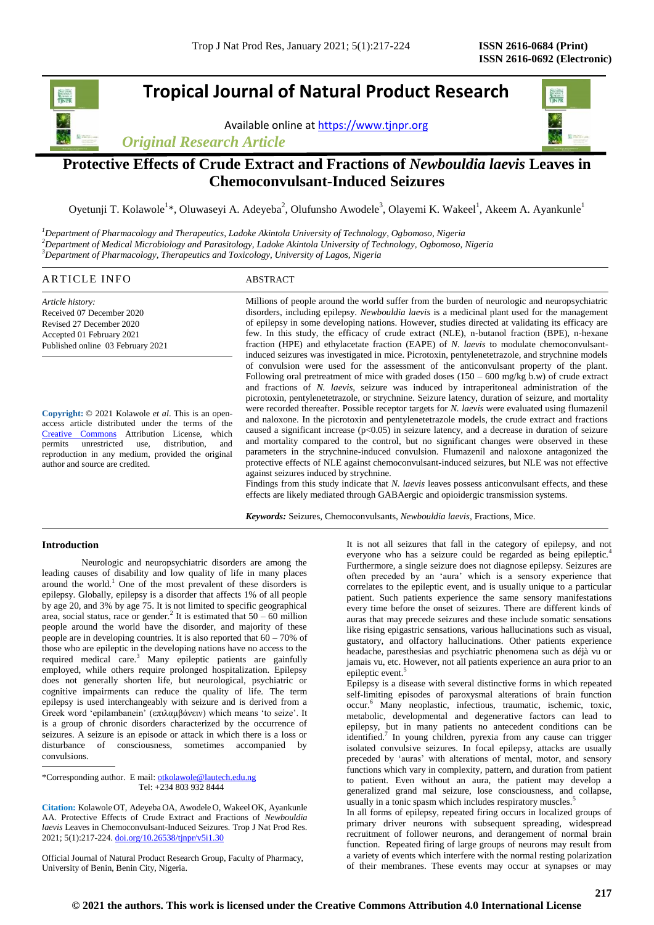# **Tropical Journal of Natural Product Research**

Available online a[t https://www.tjnpr.org](https://www.tjnpr.org/)

*Original Research Article*



# **Protective Effects of Crude Extract and Fractions of** *Newbouldia laevis* **Leaves in Chemoconvulsant-Induced Seizures**

Oyetunji T. Kolawole<sup>1</sup>\*, Oluwaseyi A. Adeyeba<sup>2</sup>, Olufunsho Awodele<sup>3</sup>, Olayemi K. Wakeel<sup>1</sup>, Akeem A. Ayankunle<sup>1</sup>

*<sup>1</sup>Department of Pharmacology and Therapeutics, Ladoke Akintola University of Technology, Ogbomoso, Nigeria <sup>2</sup>Department of Medical Microbiology and Parasitology, Ladoke Akintola University of Technology, Ogbomoso, Nigeria <sup>3</sup>Department of Pharmacology, Therapeutics and Toxicology, University of Lagos, Nigeria*

# ARTICLE INFO ABSTRACT

*Article history:* Received 07 December 2020 Revised 27 December 2020 Accepted 01 February 2021 Published online 03 February 2021

**Copyright:** © 2021 Kolawole *et al*. This is an openaccess article distributed under the terms of the [Creative Commons](https://creativecommons.org/licenses/by/4.0/) Attribution License, which permits unrestricted use, distribution, and reproduction in any medium, provided the original author and source are credited.

Millions of people around the world suffer from the burden of neurologic and neuropsychiatric disorders, including epilepsy. *Newbouldia laevis* is a medicinal plant used for the management of epilepsy in some developing nations. However, studies directed at validating its efficacy are few. In this study, the efficacy of crude extract (NLE), n-butanol fraction (BPE), n-hexane fraction (HPE) and ethylacetate fraction (EAPE) of *N. laevis* to modulate chemoconvulsantinduced seizures was investigated in mice. Picrotoxin, pentylenetetrazole, and strychnine models of convulsion were used for the assessment of the anticonvulsant property of the plant. Following oral pretreatment of mice with graded doses  $(150 - 600 \text{ mg/kg b.w})$  of crude extract and fractions of *N. laevis*, seizure was induced by intraperitoneal administration of the picrotoxin, pentylenetetrazole, or strychnine. Seizure latency, duration of seizure, and mortality were recorded thereafter. Possible receptor targets for *N. laevis* were evaluated using flumazenil and naloxone. In the picrotoxin and pentylenetetrazole models, the crude extract and fractions caused a significant increase (p<0.05) in seizure latency, and a decrease in duration of seizure and mortality compared to the control, but no significant changes were observed in these parameters in the strychnine-induced convulsion. Flumazenil and naloxone antagonized the protective effects of NLE against chemoconvulsant-induced seizures, but NLE was not effective against seizures induced by strychnine.

Findings from this study indicate that *N. laevis* leaves possess anticonvulsant effects, and these effects are likely mediated through GABAergic and opioidergic transmission systems.

*Keywords:* Seizures, Chemoconvulsants, *Newbouldia laevis*, Fractions, Mice.

# **Introduction**

Neurologic and neuropsychiatric disorders are among the leading causes of disability and low quality of life in many places around the world.<sup>1</sup> One of the most prevalent of these disorders is epilepsy. Globally, epilepsy is a disorder that affects 1% of all people by age 20, and 3% by age 75. It is not limited to specific geographical area, social status, race or gender.<sup>2</sup> It is estimated that  $50 - 60$  million people around the world have the disorder, and majority of these people are in developing countries. It is also reported that 60 – 70% of those who are epileptic in the developing nations have no access to the required medical care.<sup>3</sup> Many epileptic patients are gainfully employed, while others require prolonged hospitalization. Epilepsy does not generally shorten life, but neurological, psychiatric or cognitive impairments can reduce the quality of life. The term epilepsy is used interchangeably with seizure and is derived from a Greek word 'epilambanein' (επιλαμβάνειν) which means 'to seize'. It is a group of chronic disorders characterized by the occurrence of seizures. A seizure is an episode or attack in which there is a loss or disturbance of consciousness, sometimes accompanied by convulsions.

\*Corresponding author. E mail: otkolawole@lautech.edu.ng Tel: +234 803 932 8444

**Citation:** Kolawole OT, Adeyeba OA, Awodele O, Wakeel OK, Ayankunle AA. Protective Effects of Crude Extract and Fractions of *Newbouldia laevis* Leaves in Chemoconvulsant-Induced Seizures*.* Trop J Nat Prod Res. 2021; 5(1):217-224[. doi.org/10.26538/tjnpr/v5i1.3](http://www.doi.org/10.26538/tjnpr/v1i4.5)0

Official Journal of Natural Product Research Group, Faculty of Pharmacy, University of Benin, Benin City, Nigeria.

It is not all seizures that fall in the category of epilepsy, and not everyone who has a seizure could be regarded as being epileptic.<sup>4</sup> Furthermore, a single seizure does not diagnose epilepsy. Seizures are often preceded by an 'aura' which is a sensory experience that correlates to the epileptic event, and is usually unique to a particular patient. Such patients experience the same sensory manifestations every time before the onset of seizures. There are different kinds of auras that may precede seizures and these include somatic sensations like rising epigastric sensations, various hallucinations such as visual, gustatory, and olfactory hallucinations. Other patients experience headache, paresthesias and psychiatric phenomena such as déjà vu or jamais vu, etc. However, not all patients experience an aura prior to an epileptic event.<sup>5</sup>

Epilepsy is a disease with several distinctive forms in which repeated self-limiting episodes of paroxysmal alterations of brain function occur. <sup>6</sup> Many neoplastic, infectious, traumatic, ischemic, toxic, metabolic, developmental and degenerative factors can lead to epilepsy, but in many patients no antecedent conditions can be identified.<sup>7</sup> In young children, pyrexia from any cause can trigger isolated convulsive seizures. In focal epilepsy, attacks are usually preceded by 'auras' with alterations of mental, motor, and sensory functions which vary in complexity, pattern, and duration from patient to patient. Even without an aura, the patient may develop a generalized grand mal seizure, lose consciousness, and collapse, usually in a tonic spasm which includes respiratory muscles.<sup>5</sup>

In all forms of epilepsy, repeated firing occurs in localized groups of primary driver neurons with subsequent spreading, widespread recruitment of follower neurons, and derangement of normal brain function. Repeated firing of large groups of neurons may result from a variety of events which interfere with the normal resting polarization of their membranes. These events may occur at synapses or may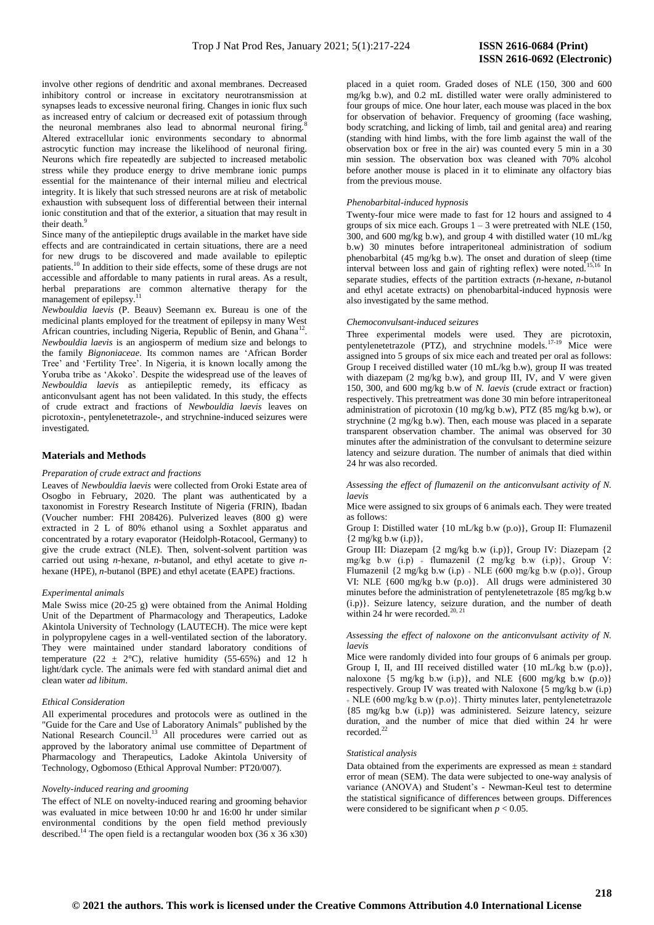involve other regions of dendritic and axonal membranes. Decreased inhibitory control or increase in excitatory neurotransmission at synapses leads to excessive neuronal firing. Changes in ionic flux such as increased entry of calcium or decreased exit of potassium through the neuronal membranes also lead to abnormal neuronal firing.<sup>8</sup> Altered extracellular ionic environments secondary to abnormal astrocytic function may increase the likelihood of neuronal firing. Neurons which fire repeatedly are subjected to increased metabolic stress while they produce energy to drive membrane ionic pumps essential for the maintenance of their internal milieu and electrical integrity. It is likely that such stressed neurons are at risk of metabolic exhaustion with subsequent loss of differential between their internal ionic constitution and that of the exterior, a situation that may result in their death.<sup>9</sup>

Since many of the antiepileptic drugs available in the market have side effects and are contraindicated in certain situations, there are a need for new drugs to be discovered and made available to epileptic patients.<sup>10</sup> In addition to their side effects, some of these drugs are not accessible and affordable to many patients in rural areas. As a result, herbal preparations are common alternative therapy for the management of epilepsy.<sup>11</sup>

*Newbouldia laevis* (P. Beauv) Seemann ex. Bureau is one of the medicinal plants employed for the treatment of epilepsy in many West African countries, including Nigeria, Republic of Benin, and Ghana<sup>12</sup>. *Newbouldia laevis* is an angiosperm of medium size and belongs to the family *Bignoniaceae*. Its common names are 'African Border Tree' and 'Fertility Tree'. In Nigeria, it is known locally among the Yoruba tribe as 'Akoko'. Despite the widespread use of the leaves of *Newbouldia laevis* as antiepileptic remedy, its efficacy as anticonvulsant agent has not been validated. In this study, the effects of crude extract and fractions of *Newbouldia laevis* leaves on picrotoxin-, pentylenetetrazole-, and strychnine-induced seizures were investigated.

#### **Materials and Methods**

## *Preparation of crude extract and fractions*

Leaves of *Newbouldia laevis* were collected from Oroki Estate area of Osogbo in February, 2020. The plant was authenticated by a taxonomist in Forestry Research Institute of Nigeria (FRIN), Ibadan (Voucher number: FHI 208426). Pulverized leaves (800 g) were extracted in 2 L of 80% ethanol using a Soxhlet apparatus and concentrated by a rotary evaporator (Heidolph-Rotacool, Germany) to give the crude extract (NLE). Then, solvent-solvent partition was carried out using *n*-hexane, *n*-butanol, and ethyl acetate to give *n*hexane (HPE), *n*-butanol (BPE) and ethyl acetate (EAPE) fractions.

#### *Experimental animals*

Male Swiss mice (20-25 g) were obtained from the Animal Holding Unit of the Department of Pharmacology and Therapeutics, Ladoke Akintola University of Technology (LAUTECH). The mice were kept in polypropylene cages in a well-ventilated section of the laboratory. They were maintained under standard laboratory conditions of temperature (22  $\pm$  2°C), relative humidity (55-65%) and 12 h light/dark cycle. The animals were fed with standard animal diet and clean water *ad libitum*.

#### *Ethical Consideration*

All experimental procedures and protocols were as outlined in the "Guide for the Care and Use of Laboratory Animals" published by the National Research Council.<sup>13</sup> All procedures were carried out as approved by the laboratory animal use committee of Department of Pharmacology and Therapeutics, Ladoke Akintola University of Technology, Ogbomoso (Ethical Approval Number: PT20/007).

## *Novelty-induced rearing and grooming*

The effect of NLE on novelty-induced rearing and grooming behavior was evaluated in mice between 10:00 hr and 16:00 hr under similar environmental conditions by the open field method previously described.<sup>14</sup> The open field is a rectangular wooden box (36 x 36 x30) placed in a quiet room. Graded doses of NLE (150, 300 and 600 mg/kg b.w), and 0.2 mL distilled water were orally administered to four groups of mice. One hour later, each mouse was placed in the box for observation of behavior. Frequency of grooming (face washing, body scratching, and licking of limb, tail and genital area) and rearing (standing with hind limbs, with the fore limb against the wall of the observation box or free in the air) was counted every 5 min in a 30 min session. The observation box was cleaned with 70% alcohol before another mouse is placed in it to eliminate any olfactory bias from the previous mouse.

### *Phenobarbital-induced hypnosis*

Twenty-four mice were made to fast for 12 hours and assigned to 4 groups of six mice each. Groups  $1 - 3$  were pretreated with NLE (150, 300, and 600 mg/kg b.w), and group 4 with distilled water (10 mL/kg b.w) 30 minutes before intraperitoneal administration of sodium phenobarbital (45 mg/kg b.w). The onset and duration of sleep (time interval between loss and gain of righting reflex) were noted.<sup>15,16</sup> In separate studies, effects of the partition extracts (*n*-hexane, *n*-butanol and ethyl acetate extracts) on phenobarbital-induced hypnosis were also investigated by the same method.

#### *Chemoconvulsant-induced seizures*

Three experimental models were used. They are picrotoxin, pentylenetetrazole (PTZ), and strychnine models.<sup>17-19</sup> Mice were assigned into 5 groups of six mice each and treated per oral as follows: Group I received distilled water (10 mL/kg b.w), group II was treated with diazepam (2 mg/kg b.w), and group III, IV, and V were given 150, 300, and 600 mg/kg b.w of *N. laevis* (crude extract or fraction) respectively. This pretreatment was done 30 min before intraperitoneal administration of picrotoxin (10 mg/kg b.w), PTZ (85 mg/kg b.w), or strychnine (2 mg/kg b.w). Then, each mouse was placed in a separate transparent observation chamber. The animal was observed for 30 minutes after the administration of the convulsant to determine seizure latency and seizure duration. The number of animals that died within 24 hr was also recorded.

*Assessing the effect of flumazenil on the anticonvulsant activity of N. laevis*

Mice were assigned to six groups of 6 animals each. They were treated as follows:

Group I: Distilled water {10 mL/kg b.w (p.o)}, Group II: Flumazenil  $\{2 \text{ mg/kg b.w (i.p)}\},\$ 

Group III: Diazepam {2 mg/kg b.w (i.p)}, Group IV: Diazepam {2 mg/kg b.w  $(i.p)$  + flumazenil  $(2 \text{ mg/kg}$  b.w  $(i.p)$ }, Group V: Flumazenil  $\{2 \text{ mg/kg b.w (i.p)} + \text{NLE } (600 \text{ mg/kg b.w (p.o)}\},$  Group VI: NLE {600 mg/kg b.w (p.o)}. All drugs were administered 30 minutes before the administration of pentylenetetrazole {85 mg/kg b.w (i.p)}. Seizure latency, seizure duration, and the number of death within 24 hr were recorded. $20, 21$ 

*Assessing the effect of naloxone on the anticonvulsant activity of N. laevis*

Mice were randomly divided into four groups of 6 animals per group. Group I, II, and III received distilled water  $\{10 \text{ mL/kg b.w (p.o)}\}$ , naloxone  $\{5 \text{ mg/kg}$  b.w (i.p)}, and NLE  $\{600 \text{ mg/kg}$  b.w (p.o)} respectively. Group IV was treated with Naloxone {5 mg/kg b.w (i.p) ₊ NLE (600 mg/kg b.w (p.o)}. Thirty minutes later, pentylenetetrazole {85 mg/kg b.w (i.p)} was administered. Seizure latency, seizure duration, and the number of mice that died within 24 hr were recorded.<sup>22</sup>

#### *Statistical analysis*

Data obtained from the experiments are expressed as mean ± standard error of mean (SEM). The data were subjected to one-way analysis of variance (ANOVA) and Student's - Newman-Keul test to determine the statistical significance of differences between groups. Differences were considered to be significant when  $p < 0.05$ .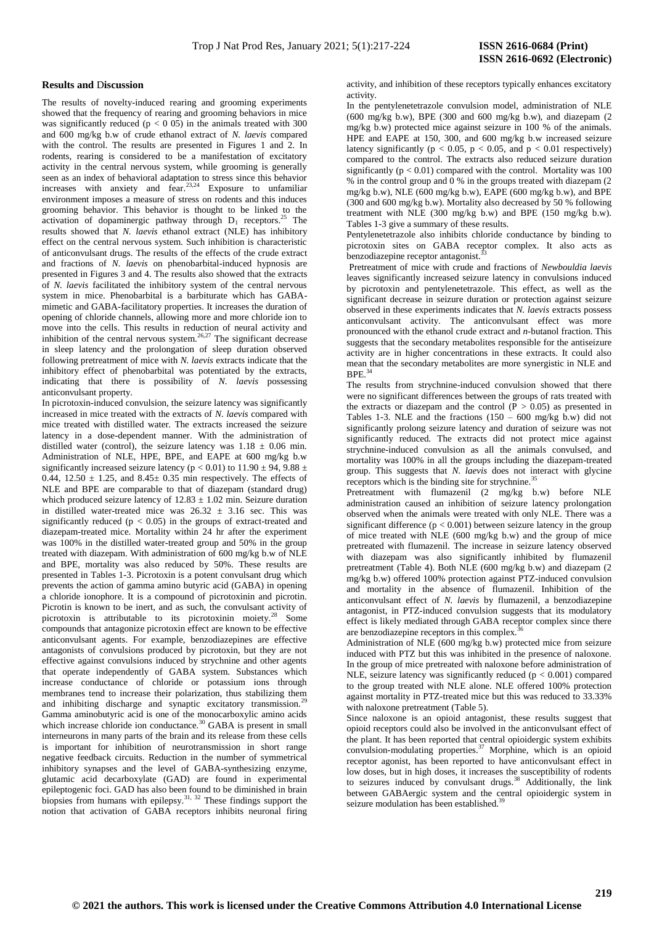#### **Results and** D**iscussion**

The results of novelty-induced rearing and grooming experiments showed that the frequency of rearing and grooming behaviors in mice was significantly reduced ( $p < 0.05$ ) in the animals treated with 300 and 600 mg/kg b.w of crude ethanol extract of *N. laevis* compared with the control. The results are presented in Figures 1 and 2. In rodents, rearing is considered to be a manifestation of excitatory activity in the central nervous system, while grooming is generally seen as an index of behavioral adaptation to stress since this behavior increases with anxiety and fear.<sup>23,24</sup> Exposure to unfamiliar environment imposes a measure of stress on rodents and this induces grooming behavior. This behavior is thought to be linked to the activation of dopaminergic pathway through  $D_1$  receptors.<sup>25</sup> The results showed that *N. laevis* ethanol extract (NLE) has inhibitory effect on the central nervous system. Such inhibition is characteristic of anticonvulsant drugs. The results of the effects of the crude extract and fractions of *N. laevis* on phenobarbital-induced hypnosis are presented in Figures 3 and 4. The results also showed that the extracts of *N. laevis* facilitated the inhibitory system of the central nervous system in mice. Phenobarbital is a barbiturate which has GABAmimetic and GABA-facilitatory properties. It increases the duration of opening of chloride channels, allowing more and more chloride ion to move into the cells. This results in reduction of neural activity and inhibition of the central nervous system.<sup>26,27</sup> The significant decrease in sleep latency and the prolongation of sleep duration observed following pretreatment of mice with *N. laevis* extracts indicate that the inhibitory effect of phenobarbital was potentiated by the extracts, indicating that there is possibility of *N. laevis* possessing anticonvulsant property.

In picrotoxin-induced convulsion, the seizure latency was significantly increased in mice treated with the extracts of *N. laevis* compared with mice treated with distilled water. The extracts increased the seizure latency in a dose-dependent manner. With the administration of distilled water (control), the seizure latency was  $1.18 \pm 0.06$  min. Administration of NLE, HPE, BPE, and EAPE at 600 mg/kg b.w significantly increased seizure latency ( $p < 0.01$ ) to  $11.90 \pm 94$ ,  $9.88 \pm 1.00$ 0.44,  $12.50 \pm 1.25$ , and  $8.45 \pm 0.35$  min respectively. The effects of NLE and BPE are comparable to that of diazepam (standard drug) which produced seizure latency of  $12.83 \pm 1.02$  min. Seizure duration in distilled water-treated mice was  $26.32 \pm 3.16$  sec. This was significantly reduced ( $p < 0.05$ ) in the groups of extract-treated and diazepam-treated mice. Mortality within 24 hr after the experiment was 100% in the distilled water-treated group and 50% in the group treated with diazepam. With administration of 600 mg/kg b.w of NLE and BPE, mortality was also reduced by 50%. These results are presented in Tables 1-3. Picrotoxin is a potent convulsant drug which prevents the action of gamma amino butyric acid (GABA) in opening a chloride ionophore. It is a compound of picrotoxinin and picrotin. Picrotin is known to be inert, and as such, the convulsant activity of picrotoxin is attributable to its picrotoxinin moiety.<sup>28</sup> Some compounds that antagonize picrotoxin effect are known to be effective anticonvulsant agents. For example, benzodiazepines are effective antagonists of convulsions produced by picrotoxin, but they are not effective against convulsions induced by strychnine and other agents that operate independently of GABA system. Substances which increase conductance of chloride or potassium ions through membranes tend to increase their polarization, thus stabilizing them and inhibiting discharge and synaptic excitatory transmission. $2^{2}$ Gamma aminobutyric acid is one of the monocarboxylic amino acids which increase chloride ion conductance.<sup>30</sup> GABA is present in small interneurons in many parts of the brain and its release from these cells is important for inhibition of neurotransmission in short range negative feedback circuits. Reduction in the number of symmetrical inhibitory synapses and the level of GABA-synthesizing enzyme, glutamic acid decarboxylate (GAD) are found in experimental epileptogenic foci. GAD has also been found to be diminished in brain biopsies from humans with epilepsy.<sup>31, 32</sup> These findings support the notion that activation of GABA receptors inhibits neuronal firing activity, and inhibition of these receptors typically enhances excitatory activity.

In the pentylenetetrazole convulsion model, administration of NLE  $(600 \text{ mg/kg b.w})$ , BPE  $(300 \text{ and } 600 \text{ mg/kg b.w})$ , and diazepam  $(2)$ mg/kg b.w) protected mice against seizure in 100 % of the animals. HPE and EAPE at 150, 300, and 600 mg/kg b.w increased seizure latency significantly ( $p < 0.05$ ,  $p < 0.05$ , and  $p < 0.01$  respectively) compared to the control. The extracts also reduced seizure duration significantly  $(p < 0.01)$  compared with the control. Mortality was 100 % in the control group and 0 % in the groups treated with diazepam (2 mg/kg b.w), NLE (600 mg/kg b.w), EAPE (600 mg/kg b.w), and BPE (300 and 600 mg/kg b.w). Mortality also decreased by 50 % following treatment with NLE (300 mg/kg b.w) and BPE (150 mg/kg b.w). Tables 1-3 give a summary of these results.

Pentylenetetrazole also inhibits chloride conductance by binding to picrotoxin sites on GABA receptor complex. It also acts as benzodiazepine receptor antagonist.<sup>3</sup>

Pretreatment of mice with crude and fractions of *Newbouldia laevis* leaves significantly increased seizure latency in convulsions induced by picrotoxin and pentylenetetrazole. This effect, as well as the significant decrease in seizure duration or protection against seizure observed in these experiments indicates that *N. laevis* extracts possess anticonvulsant activity. The anticonvulsant effect was more pronounced with the ethanol crude extract and *n*-butanol fraction. This suggests that the secondary metabolites responsible for the antiseizure activity are in higher concentrations in these extracts. It could also mean that the secondary metabolites are more synergistic in NLE and  $BPE.$ <sup>34</sup>

The results from strychnine-induced convulsion showed that there were no significant differences between the groups of rats treated with the extracts or diazepam and the control ( $\overline{P} > 0.05$ ) as presented in Tables 1-3. NLE and the fractions  $(150 - 600 \text{ mg/kg b.w})$  did not significantly prolong seizure latency and duration of seizure was not significantly reduced. The extracts did not protect mice against strychnine-induced convulsion as all the animals convulsed, and mortality was 100% in all the groups including the diazepam-treated group. This suggests that *N. laevis* does not interact with glycine receptors which is the binding site for strychnine.<sup>31</sup>

Pretreatment with flumazenil (2 mg/kg b.w) before NLE administration caused an inhibition of seizure latency prolongation observed when the animals were treated with only NLE. There was a significant difference  $(p < 0.001)$  between seizure latency in the group of mice treated with NLE (600 mg/kg b.w) and the group of mice pretreated with flumazenil. The increase in seizure latency observed with diazepam was also significantly inhibited by flumazenil pretreatment (Table 4). Both NLE (600 mg/kg b.w) and diazepam (2 mg/kg b.w) offered 100% protection against PTZ-induced convulsion and mortality in the absence of flumazenil. Inhibition of the anticonvulsant effect of *N. laevis* by flumazenil, a benzodiazepine antagonist, in PTZ-induced convulsion suggests that its modulatory effect is likely mediated through GABA receptor complex since there are benzodiazepine receptors in this complex.<sup>36</sup>

Administration of NLE (600 mg/kg b.w) protected mice from seizure induced with PTZ but this was inhibited in the presence of naloxone. In the group of mice pretreated with naloxone before administration of NLE, seizure latency was significantly reduced ( $p < 0.001$ ) compared to the group treated with NLE alone. NLE offered 100% protection against mortality in PTZ-treated mice but this was reduced to 33.33% with naloxone pretreatment (Table 5).

Since naloxone is an opioid antagonist, these results suggest that opioid receptors could also be involved in the anticonvulsant effect of the plant. It has been reported that central opioidergic system exhibits convulsion-modulating properties.<sup>37</sup> Morphine, which is an opioid receptor agonist, has been reported to have anticonvulsant effect in low doses, but in high doses, it increases the susceptibility of rodents to seizures induced by convulsant drugs.<sup>38</sup> Additionally, the link between GABAergic system and the central opioidergic system in seizure modulation has been established.<sup>39</sup>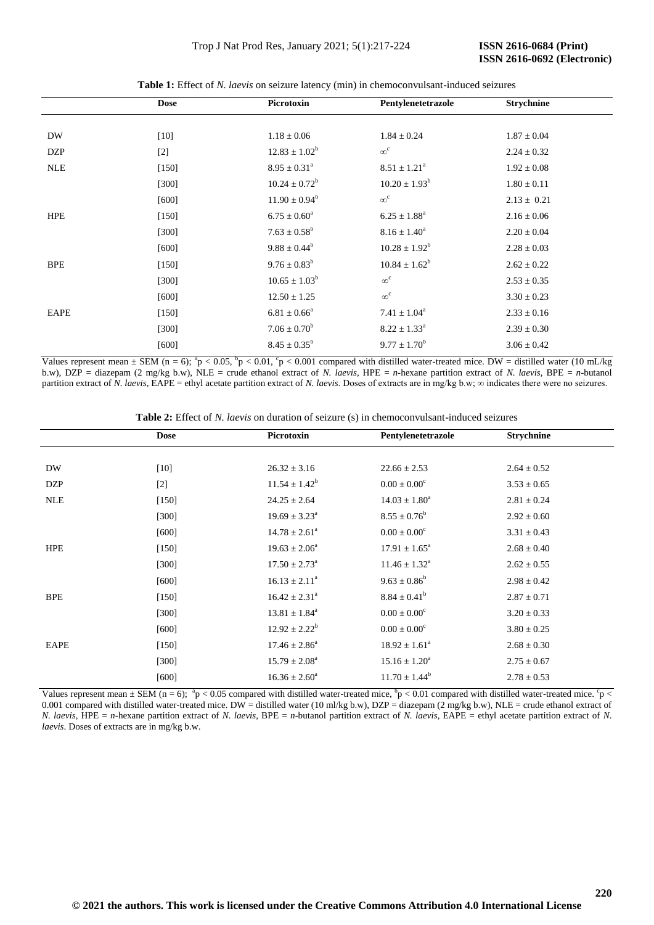|            | <b>Dose</b> | Picrotoxin         | Pentylenetetrazole         | <b>Strychnine</b> |
|------------|-------------|--------------------|----------------------------|-------------------|
|            |             |                    |                            |                   |
| DW         | $[10]$      | $1.18 \pm 0.06$    | $1.84 \pm 0.24$            | $1.87 \pm 0.04$   |
| <b>DZP</b> | $[2]$       | $12.83 \pm 1.02^b$ | $\infty^c$                 | $2.24 \pm 0.32$   |
| <b>NLE</b> | $[150]$     | $8.95 \pm 0.31^a$  | $8.51 \pm 1.21^a$          | $1.92 \pm 0.08$   |
|            | $[300]$     | $10.24 \pm 0.72^b$ | $10.20 \pm 1.93^b$         | $1.80 \pm 0.11$   |
|            | [600]       | $11.90 \pm 0.94^b$ | $\infty^c$                 | $2.13 \pm 0.21$   |
| <b>HPE</b> | $[150]$     | $6.75 \pm 0.60^a$  | $6.25 \pm 1.88^a$          | $2.16 \pm 0.06$   |
|            | $[300]$     | $7.63 \pm 0.58^b$  | $8.16 \pm 1.40^a$          | $2.20 \pm 0.04$   |
|            | [600]       | $9.88 \pm 0.44^b$  | $10.28 \pm 1.92^b$         | $2.28 \pm 0.03$   |
| <b>BPE</b> | $[150]$     | $9.76 \pm 0.83^b$  | $10.84 \pm 1.62^b$         | $2.62 \pm 0.22$   |
|            | [300]       | $10.65 \pm 1.03^b$ | $\infty^{\mathrm{c}}$      | $2.53 \pm 0.35$   |
|            | $[600]$     | $12.50 \pm 1.25$   | $\infty^c$                 | $3.30 \pm 0.23$   |
| EAPE       | $[150]$     | $6.81 \pm 0.66^a$  | $7.41 \pm 1.04^a$          | $2.33 \pm 0.16$   |
|            | $[300]$     | $7.06 \pm 0.70^b$  | $8.22\pm1.33^{\textrm{a}}$ | $2.39 \pm 0.30$   |
|            | [600]       | $8.45 \pm 0.35^b$  | $9.77 \pm 1.70^b$          | $3.06 \pm 0.42$   |

**Table 1:** Effect of *N. laevis* on seizure latency (min) in chemoconvulsant-induced seizures

Values represent mean  $\pm$  SEM (n = 6);  ${}^{8}p$  < 0.05,  ${}^{6}p$  < 0.01,  ${}^{6}p$  < 0.001 compared with distilled water-treated mice. DW = distilled water (10 mL/kg) b.w), DZP = diazepam (2 mg/kg b.w), NLE = crude ethanol extract of *N. laevis*, HPE = *n*-hexane partition extract of *N. laevis*, BPE = *n*-butanol partition extract of *N. laevis*, EAPE = ethyl acetate partition extract of *N. laevis*. Doses of extracts are in mg/kg b.w; ∞ indicates there were no seizures.

**Table 2:** Effect of *N. laevis* on duration of seizure (s) in chemoconvulsant-induced seizures

| <b>Dose</b> | Picrotoxin               | Pentylenetetrazole          | <b>Strychnine</b> |
|-------------|--------------------------|-----------------------------|-------------------|
|             |                          |                             |                   |
| $[10]$      | $26.32 \pm 3.16$         | $22.66 \pm 2.53$            | $2.64 \pm 0.52$   |
| $[2]$       | $11.54 \pm 1.42^b$       | $0.00 \pm 0.00^c$           | $3.53 \pm 0.65$   |
| $[150]$     | $24.25 \pm 2.64$         | $14.03 \pm 1.80^a$          | $2.81 \pm 0.24$   |
| $[300]$     | $19.69 \pm 3.23^{\circ}$ | $8.55 \pm 0.76^b$           | $2.92 \pm 0.60$   |
| $[600]$     | $14.78 \pm 2.61^{\circ}$ | $0.00 \pm 0.00^c$           | $3.31 \pm 0.43$   |
| $[150]$     | $19.63 \pm 2.06^a$       | $17.91 \pm 1.65^{\circ}$    | $2.68 \pm 0.40$   |
| $[300]$     | $17.50 \pm 2.73^{\circ}$ | $11.46 \pm 1.32^{\text{a}}$ | $2.62 \pm 0.55$   |
| [600]       | $16.13 \pm 2.11^a$       | $9.63 \pm 0.86^b$           | $2.98 \pm 0.42$   |
| $[150]$     | $16.42 \pm 2.31^a$       | $8.84 \pm 0.41^b$           | $2.87 \pm 0.71$   |
| [300]       | $13.81 \pm 1.84^a$       | $0.00 \pm 0.00^{\circ}$     | $3.20 \pm 0.33$   |
| [600]       | $12.92 \pm 2.22^b$       | $0.00 \pm 0.00^{\circ}$     | $3.80 \pm 0.25$   |
| $[150]$     | $17.46 \pm 2.86^a$       | $18.92 \pm 1.61^a$          | $2.68 \pm 0.30$   |
| [300]       | $15.79 \pm 2.08^a$       | $15.16 \pm 1.20^a$          | $2.75 \pm 0.67$   |
| [600]       | $16.36 \pm 2.60^a$       | $11.70 \pm 1.44^b$          | $2.78 \pm 0.53$   |
|             |                          |                             |                   |

Values represent mean  $\pm$  SEM (n = 6); <sup>a</sup>p < 0.05 compared with distilled water-treated mice, <sup>b</sup>p < 0.01 compared with distilled water-treated mice. <sup>6</sup>p < 0.001 compared with distilled water-treated mice. DW = distilled water (10 ml/kg b.w), DZP = diazepam (2 mg/kg b.w), NLE = crude ethanol extract of *N. laevis*, HPE = *n*-hexane partition extract of *N. laevis*, BPE = *n*-butanol partition extract of *N. laevis*, EAPE = ethyl acetate partition extract of *N. laevis*. Doses of extracts are in mg/kg b.w.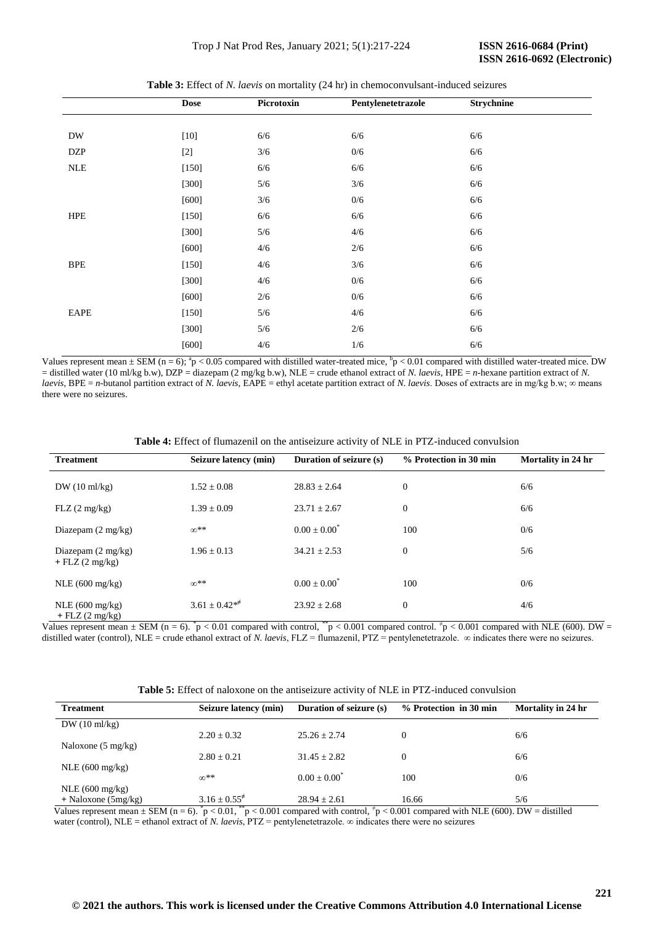|            | <b>Dose</b> | Picrotoxin | Pentylenetetrazole | Strychnine |  |  |
|------------|-------------|------------|--------------------|------------|--|--|
|            |             |            |                    |            |  |  |
| DW         | $[10]$      | $6/6$      | 6/6                | 6/6        |  |  |
| <b>DZP</b> | $[2]$       | 3/6        | 0/6                | $6/6$      |  |  |
| $\it NLE$  | $[150]$     | $6/6$      | 6/6                | 6/6        |  |  |
|            | $[300]$     | $5/6$      | 3/6                | 6/6        |  |  |
|            | [600]       | 3/6        | 0/6                | $6/6$      |  |  |
| <b>HPE</b> | $[150]$     | 6/6        | 6/6                | $6/6$      |  |  |
|            | $[300]$     | 5/6        | 4/6                | 6/6        |  |  |
|            | [600]       | 4/6        | 2/6                | $6/6$      |  |  |
| <b>BPE</b> | $[150]$     | 4/6        | 3/6                | 6/6        |  |  |
|            | $[300]$     | 4/6        | 0/6                | 6/6        |  |  |
|            | $[600]$     | $2/6$      | 0/6                | $6/6$      |  |  |
| EAPE       | $[150]$     | 5/6        | 4/6                | 6/6        |  |  |
|            | $[300]$     | 5/6        | 2/6                | 6/6        |  |  |
|            | $[600]$     | 4/6        | $1/6$              | $6/6$      |  |  |

**Table 3:** Effect of *N. laevis* on mortality (24 hr) in chemoconvulsant-induced seizures

Values represent mean  $\pm$  SEM (n = 6);  ${}^{a}p$  < 0.05 compared with distilled water-treated mice,  ${}^{b}p$  < 0.01 compared with distilled water-treated mice. DW  $=$  distilled water (10 ml/kg b.w), DZP  $=$  diazepam (2 mg/kg b.w), NLE  $=$  crude ethanol extract of *N. laevis*, HPE  $=$  *n*-hexane partition extract of *N. laevis*, BPE = *n*-butanol partition extract of *N. laevis*, EAPE = ethyl acetate partition extract of *N. laevis*. Doses of extracts are in mg/kg b.w;  $\infty$  means there were no seizures.

**Table 4:** Effect of flumazenil on the antiseizure activity of NLE in PTZ-induced convulsion

| <b>Treatment</b>                                            | Seizure latency (min) | <b>Duration of seizure (s)</b> | % Protection in 30 min | Mortality in 24 hr |
|-------------------------------------------------------------|-----------------------|--------------------------------|------------------------|--------------------|
| $DW(10 \text{ ml/kg})$                                      | $1.52 \pm 0.08$       | $28.83 \pm 2.64$               | $\boldsymbol{0}$       | 6/6                |
| FLZ(2 mg/kg)                                                | $1.39 \pm 0.09$       | $23.71 \pm 2.67$               | $\mathbf{0}$           | 6/6                |
| Diazepam $(2 \text{ mg/kg})$                                | $\infty$ **           | $0.00 + 0.00^*$                | 100                    | 0/6                |
| Diazepam $(2 \text{ mg/kg})$<br>$+$ FLZ $(2 \text{ mg/kg})$ | $1.96 \pm 0.13$       | $34.21 \pm 2.53$               | $\mathbf{0}$           | 5/6                |
| NLE(600 mg/kg)                                              | $\infty$ **           | $0.00 + 0.00^*$                | 100                    | 0/6                |
| NLE $(600 \text{ mg/kg})$<br>$+$ FLZ (2 mg/kg)              | $3.61 \pm 0.42**$     | $23.92 \pm 2.68$               | $\boldsymbol{0}$       | 4/6                |

Values represent mean  $\pm$  SEM (n = 6).  $^{*}p$  < 0.01 compared with control,  $^{*}p$  < 0.001 compared control.  $^{*}p$  < 0.001 compared with NLE (600). DW = distilled water (control), NLE = crude ethanol extract of *N. laevis*, FLZ = flumazenil, PTZ = pentylenetetrazole. ∞ indicates there were no seizures.

| <b>Table 5:</b> Effect of naloxone on the antiseizure activity of NLE in PTZ-induced convulsion |  |
|-------------------------------------------------------------------------------------------------|--|
|-------------------------------------------------------------------------------------------------|--|

| <b>Treatment</b>             | Seizure latency (min) | <b>Duration of seizure (s)</b> | % Protection in 30 min | Mortality in 24 hr |
|------------------------------|-----------------------|--------------------------------|------------------------|--------------------|
| $DW(10 \text{ ml/kg})$       |                       |                                |                        |                    |
|                              | $2.20 \pm 0.32$       | $25.26 + 2.74$                 | $\Omega$               | 6/6                |
| Naloxone $(5 \text{ mg/kg})$ |                       |                                |                        |                    |
|                              | $2.80 + 0.21$         | $31.45 + 2.82$                 | $\Omega$               | 6/6                |
| $NLE(600 \text{ mg/kg})$     | $\infty$ **           | $0.00 + 0.00^{\circ}$          | 100                    | 0/6                |
| NLE $(600 \text{ mg/kg})$    |                       |                                |                        |                    |
| $+$ Naloxone (5mg/kg)        | $3.16 \pm 0.55^{\pm}$ | $28.94 \pm 2.61$               | 16.66                  | 5/6                |

Values represent mean  $\pm$  SEM (n = 6).  $\bar{p}$  < 0.01,  $\bar{p}$  = 0.001 compared with control,  $\bar{\tau}$  = < 0.001 compared with NLE (600). DW = distilled water (control), NLE = ethanol extract of *N. laevis*, PTZ = pentylenetetrazole. ∞ indicates there were no seizures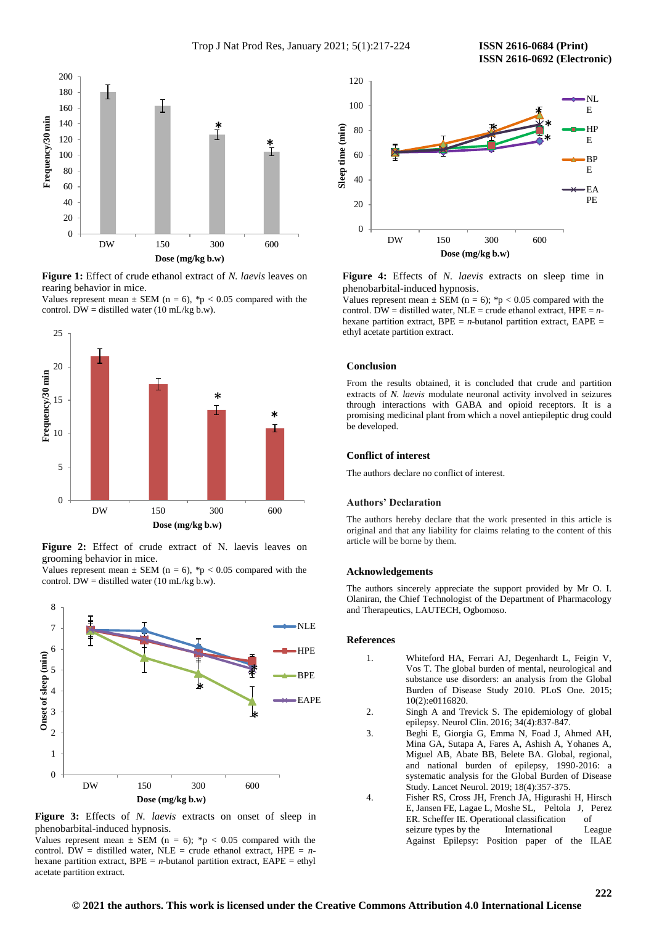

**Figure 1:** Effect of crude ethanol extract of *N. laevis* leaves on rearing behavior in mice.

Values represent mean  $\pm$  SEM (n = 6), \*p < 0.05 compared with the control. DW = distilled water (10 mL/kg b.w).



**Figure 2:** Effect of crude extract of N. laevis leaves on grooming behavior in mice.

Values represent mean  $\pm$  SEM (n = 6), \*p < 0.05 compared with the control. DW = distilled water (10 mL/kg b.w).



**Figure 3:** Effects of *N. laevis* extracts on onset of sleep in phenobarbital-induced hypnosis.

Values represent mean  $\pm$  SEM (n = 6); \*p < 0.05 compared with the control. DW = distilled water, NLE = crude ethanol extract, HPE =  $n$ hexane partition extract,  $BPE = n$ -butanol partition extract,  $EAPE = ethyl$ acetate partition extract.



**Figure 4:** Effects of *N. laevis* extracts on sleep time in phenobarbital-induced hypnosis.

Values represent mean  $\pm$  SEM (n = 6); \*p < 0.05 compared with the control. DW = distilled water, NLE = crude ethanol extract,  $HPE = n$ hexane partition extract,  $BPE = n$ -butanol partition extract,  $EAPE =$ ethyl acetate partition extract.

# **Conclusion**

From the results obtained, it is concluded that crude and partition extracts of *N. laevis* modulate neuronal activity involved in seizures through interactions with GABA and opioid receptors. It is a promising medicinal plant from which a novel antiepileptic drug could be developed.

## **Conflict of interest**

The authors declare no conflict of interest.

# **Authors' Declaration**

The authors hereby declare that the work presented in this article is original and that any liability for claims relating to the content of this article will be borne by them.

#### **Acknowledgements**

The authors sincerely appreciate the support provided by Mr O. I. Olaniran, the Chief Technologist of the Department of Pharmacology and Therapeutics, LAUTECH, Ogbomoso.

# **References**

- 1. Whiteford HA, Ferrari AJ, Degenhardt L, Feigin V, Vos T. The global burden of mental, neurological and substance use disorders: an analysis from the Global Burden of Disease Study 2010*.* PLoS One. 2015; 10(2):e0116820.
- 2. Singh A and Trevick S. The epidemiology of global epilepsy. Neurol Clin. 2016; 34(4):837-847.
- 3. Beghi E, Giorgia G, Emma N, Foad J, Ahmed AH, Mina GA, Sutapa A, Fares A, Ashish A, Yohanes A, Miguel AB, Abate BB, Belete BA. Global, regional, and national burden of epilepsy, 1990-2016: a systematic analysis for the Global Burden of Disease Study. Lancet Neurol. 2019; 18(4):357-375.
- 4. Fisher RS, Cross JH, French JA, Higurashi H, Hirsch E, Jansen FE, Lagae L, Moshe SL, Peltola J, Perez ER. Scheffer IE. Operational classification of seizure types by the International League Against Epilepsy: Position paper of the ILAE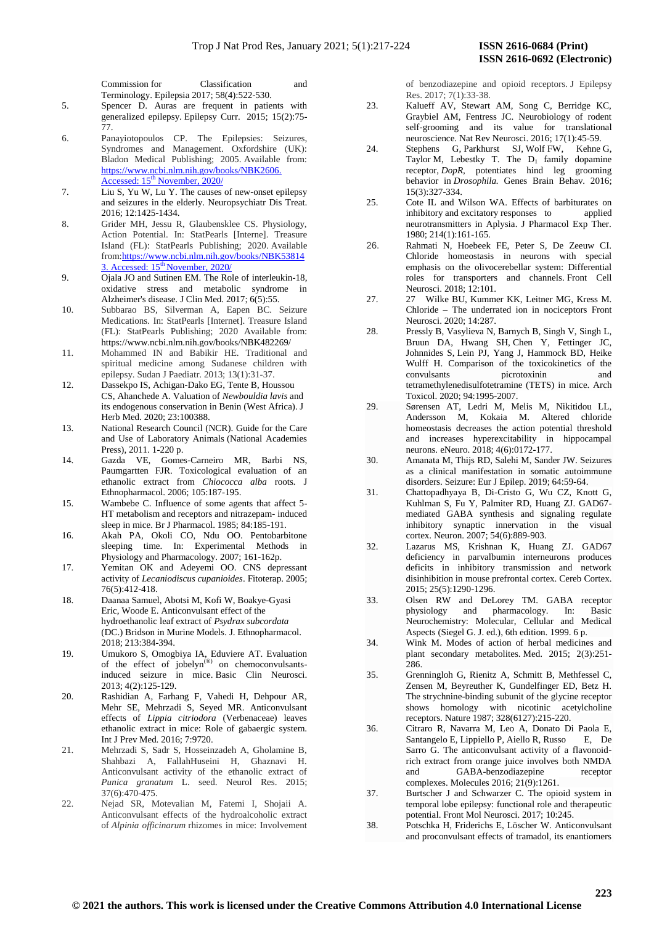Commission for Classification and Terminology. Epilepsia 2017; 58(4):522-530.

5. Spencer D. Auras are frequent in patients with generalized epilepsy. Epilepsy Curr. 2015; 15(2):75- 77.

- 6. Panayiotopoulos CP. The Epilepsies: Seizures, Syndromes and Management. Oxfordshire (UK): Bladon Medical Publishing; 2005. Available from: [https://www.ncbi.nlm.nih.gov/books/NBK2606.](https://www.ncbi.nlm.nih.gov/books/NBK2606.%20Accessed:%2015th%20November,%202020/)  Accessed: 15<sup>th</sup> [November, 2020/](https://www.ncbi.nlm.nih.gov/books/NBK2606.%20Accessed:%2015th%20November,%202020/)
- 7. Liu S, Yu W, Lu Y. The causes of new-onset epilepsy and seizures in the elderly. Neuropsychiatr Dis Treat. 2016; 12:1425-1434.
- 8. Grider MH, Jessu R, Glaubensklee CS. Physiology, Action Potential. In: StatPearls [Interne]. Treasure Island (FL): StatPearls Publishing; 2020. Available from[:https://www.ncbi.nlm.nih.gov/books/NBK53814](https://www.ncbi.nlm.nih.gov/books/NBK538143.%20Accessed:%2015th%20November,%202020/) 3. Accessed: 15<sup>th</sup> [November, 2020/](https://www.ncbi.nlm.nih.gov/books/NBK538143.%20Accessed:%2015th%20November,%202020/)
- 9. Ojala JO and Sutinen EM. The Role of interleukin-18, oxidative stress and metabolic syndrome in Alzheimer's disease. J Clin Med. 2017; 6(5):55.
- 10. Subbarao BS, Silverman A, Eapen BC. Seizure Medications. In: StatPearls [Internet]. Treasure Island (FL): StatPearls Publishing; 2020 Available from: <https://www.ncbi.nlm.nih.gov/books/NBK482269/>
- 11. Mohammed IN and Babikir HE. Traditional and spiritual medicine among Sudanese children with epilepsy. Sudan J Paediatr. 2013; 13(1):31-37.
- 12. Dassekpo IS, Achigan-Dako EG, Tente B, Houssou CS, Ahanchede A. Valuation of *Newbouldia lavis* and its endogenous conservation in Benin (West Africa). J Herb Med. 2020; 23:100388.
- 13. National Research Council (NCR). Guide for the Care and Use of Laboratory Animals (National Academies Press), 2011. 1-220 p.
- 14. Gazda VE, Gomes-Carneiro MR, Barbi NS, Paumgartten FJR. Toxicological evaluation of an ethanolic extract from *Chiococca alba* roots*.* J Ethnopharmacol. 2006; 105:187-195.
- 15. Wambebe C. Influence of some agents that affect 5- HT metabolism and receptors and nitrazepam- induced sleep in mice. Br J Pharmacol. 1985; 84:185-191.
- 16. Akah PA, Okoli CO, Ndu OO. Pentobarbitone sleeping time. In: Experimental Methods in Physiology and Pharmacology. 2007; 161-162p.
- 17. Yemitan OK and Adeyemi OO. CNS depressant activity of *Lecaniodiscus cupanioides*. Fitoterap. 2005; 76(5):412-418.
- 18. Daanaa Samuel, Abotsi M, Kofi W, Boakye-Gyasi Eric, Woode E. Anticonvulsant effect of the hydroethanolic leaf extract of *Psydrax subcordata* (DC.) Bridson in Murine Models. J. Ethnopharmacol. 2018; 213:384-394.
- 19. Umukoro S, Omogbiya IA, Eduviere AT. Evaluation of the effect of jobelyn<sup>(®)</sup> on chemoconvulsantsinduced seizure in mice. Basic Clin Neurosci. 2013; 4(2):125-129.
- 20. Rashidian A, Farhang F, Vahedi H, Dehpour AR, Mehr SE, Mehrzadi S, Seyed MR. Anticonvulsant effects of *Lippia citriodora* (Verbenaceae) leaves ethanolic extract in mice: Role of gabaergic system. Int J Prev Med. 2016; 7:9720.
- 21. Mehrzadi S, Sadr S, Hosseinzadeh A, Gholamine B, Shahbazi A, FallahHuseini H, Ghaznavi H. Anticonvulsant activity of the ethanolic extract of *Punica granatum* L. seed. Neurol Res. 2015; 37(6):470-475.
- 22. Nejad SR, Motevalian M, Fatemi I, Shojaii A. Anticonvulsant effects of the hydroalcoholic extract of *Alpinia officinarum* rhizomes in mice: Involvement

of benzodiazepine and opioid receptors. J Epilepsy Res. 2017; 7(1):33-38.

- 23. Kalueff AV, Stewart AM, Song C, Berridge KC, Graybiel AM, Fentress JC. Neurobiology of rodent self-grooming and its value for translational neuroscience. Nat Rev Neurosci. 2016; 17(1):45-59.
- 24. [Stephens](https://onlinelibrary.wiley.com/action/doSearch?ContribAuthorStored=Stephens%2C+G) G, [Parkhurst](https://onlinelibrary.wiley.com/action/doSearch?ContribAuthorStored=Parkhurst%2C+S+J) SJ, [Wolf](https://onlinelibrary.wiley.com/action/doSearch?ContribAuthorStored=Wolf%2C+F+W) FW, [Kehne](https://onlinelibrary.wiley.com/action/doSearch?ContribAuthorStored=Kehne%2C+G) G, [Taylor](https://onlinelibrary.wiley.com/action/doSearch?ContribAuthorStored=Taylor%2C+M) M, [Lebestky](https://onlinelibrary.wiley.com/action/doSearch?ContribAuthorStored=Lebestky%2C+T) T. The  $D_1$  family dopamine receptor, *DopR*, potentiates hind leg grooming behavior in *Drosophila.* Genes Brain Behav. 2016; 15(3):327-334.
- 25. Cote IL and Wilson WA. Effects of barbiturates on inhibitory and excitatory responses to applied neurotransmitters in Aplysia. J Pharmacol Exp Ther. 1980; 214(1):161-165.
- 26. Rahmati N, Hoebeek FE, Peter S, De Zeeuw CI. Chloride homeostasis in neurons with special emphasis on the olivocerebellar system: Differential roles for transporters and channels. Front Cell Neurosci. 2018; 12:101.
- 27. 27 Wilke BU, Kummer KK, Leitner MG, Kress M. Chloride – The underrated ion in nociceptors Front Neurosci. 2020; 14:287.
- 28. Pressly B, Vasylieva N, Barnych B, Singh V, Singh L, Bruun DA, Hwang SH, Chen Y, Fettinger JC, Johnnides S, Lein PJ, Yang J, Hammock BD, Heike Wulff H. Comparison of the toxicokinetics of the convulsants picrotoxinin and tetramethylenedisulfotetramine (TETS) in mice. Arch Toxicol. 2020; 94:1995-2007.
- 29. Sørensen AT, Ledri M, Melis M, Nikitidou LL, Andersson M, Kokaia M. Altered chloride homeostasis decreases the action potential threshold and increases hyperexcitability in hippocampal neurons. eNeuro. 2018; 4(6):0172-177.
- 30. Amanata M, Thijs RD, Salehi M, Sander JW. Seizures as a clinical manifestation in somatic autoimmune disorders. Seizure: Eur J Epilep. 2019; 64:59-64.
- 31. Chattopadhyaya B, Di-Cristo G, Wu CZ, Knott G, Kuhlman S, Fu Y, Palmiter RD, Huang ZJ. GAD67 mediated GABA synthesis and signaling regulate inhibitory synaptic innervation in the visual cortex. Neuron. 2007; 54(6):889-903.
- 32. Lazarus MS, Krishnan K, Huang ZJ. GAD67 deficiency in parvalbumin interneurons produces deficits in inhibitory transmission and network disinhibition in mouse prefrontal cortex. Cereb Cortex. 2015; 25(5):1290-1296.
- 33. Olsen RW and DeLorey TM. GABA receptor physiology and pharmacology. In: Basic Neurochemistry: Molecular, Cellular and Medical Aspects (Siegel G. J. ed.), 6th edition. 1999. 6 p.
- 34. Wink M. Modes of action of herbal medicines and plant secondary metabolites. Med. 2015; 2(3):251- 286.
- 35. Grenningloh G, Rienitz A, Schmitt B, Methfessel C, Zensen M, Beyreuther K, Gundelfinger ED, Betz H. The strychnine-binding subunit of the glycine receptor shows homology with nicotinic acetylcholine receptors. Nature 1987; 328(6127):215-220.
- 36. Citraro R, Navarra M, Leo A, Donato Di Paola E, Santangelo E, Lippiello P, Aiello R, Russo E, De Sarro G. The anticonvulsant activity of a flavonoidrich extract from orange juice involves both NMDA and GABA-benzodiazepine receptor complexes. Molecules 2016; 21(9):1261.
- 37. Burtscher J and Schwarzer C. The opioid system in temporal lobe epilepsy: functional role and therapeutic potential. Front Mol Neurosci. 2017; 10:245.
- 38. Potschka H, Friderichs E, Löscher W. Anticonvulsant and proconvulsant effects of tramadol, its enantiomers